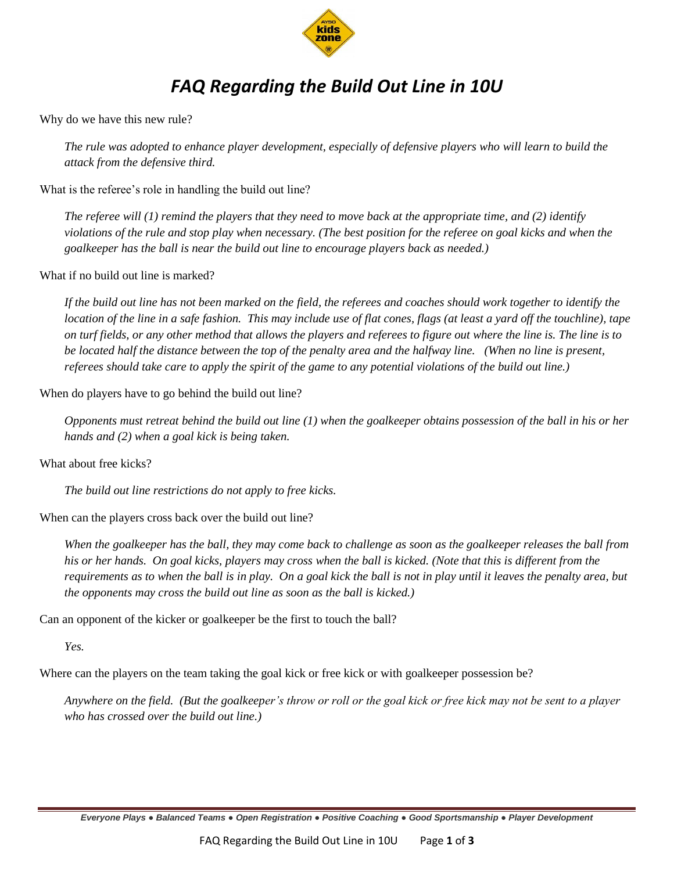

## *FAQ Regarding the Build Out Line in 10U*

Why do we have this new rule?

*The rule was adopted to enhance player development, especially of defensive players who will learn to build the attack from the defensive third.*

What is the referee's role in handling the build out line?

*The referee will (1) remind the players that they need to move back at the appropriate time, and (2) identify violations of the rule and stop play when necessary. (The best position for the referee on goal kicks and when the goalkeeper has the ball is near the build out line to encourage players back as needed.)*

What if no build out line is marked?

*If the build out line has not been marked on the field, the referees and coaches should work together to identify the location of the line in a safe fashion. This may include use of flat cones, flags (at least a yard off the touchline), tape on turf fields, or any other method that allows the players and referees to figure out where the line is. The line is to be located half the distance between the top of the penalty area and the halfway line. (When no line is present, referees should take care to apply the spirit of the game to any potential violations of the build out line.)*

When do players have to go behind the build out line?

*Opponents must retreat behind the build out line (1) when the goalkeeper obtains possession of the ball in his or her hands and (2) when a goal kick is being taken.*

What about free kicks?

*The build out line restrictions do not apply to free kicks.*

When can the players cross back over the build out line?

*When the goalkeeper has the ball, they may come back to challenge as soon as the goalkeeper releases the ball from his or her hands. On goal kicks, players may cross when the ball is kicked. (Note that this is different from the requirements as to when the ball is in play. On a goal kick the ball is not in play until it leaves the penalty area, but the opponents may cross the build out line as soon as the ball is kicked.)*

Can an opponent of the kicker or goalkeeper be the first to touch the ball?

*Yes.* 

Where can the players on the team taking the goal kick or free kick or with goalkeeper possession be?

*Anywhere on the field. (But the goalkeeper's throw or roll or the goal kick or free kick may not be sent to a player who has crossed over the build out line.)* 

*Everyone Plays ● Balanced Teams ● Open Registration ● Positive Coaching ● Good Sportsmanship ● Player Development*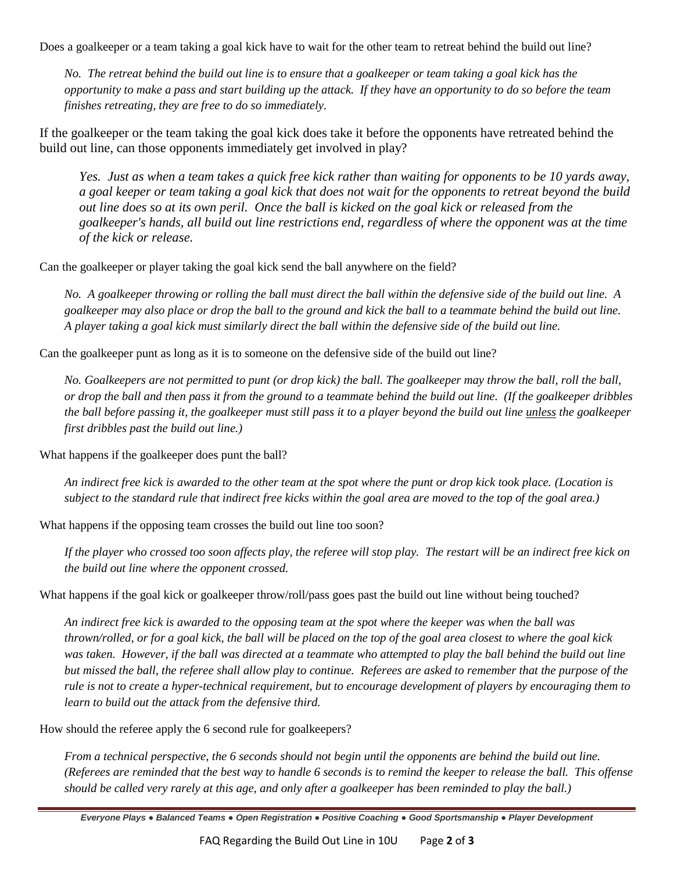Does a goalkeeper or a team taking a goal kick have to wait for the other team to retreat behind the build out line?

*No. The retreat behind the build out line is to ensure that a goalkeeper or team taking a goal kick has the opportunity to make a pass and start building up the attack. If they have an opportunity to do so before the team finishes retreating, they are free to do so immediately.*

If the goalkeeper or the team taking the goal kick does take it before the opponents have retreated behind the build out line, can those opponents immediately get involved in play?

*Yes. Just as when a team takes a quick free kick rather than waiting for opponents to be 10 yards away, a goal keeper or team taking a goal kick that does not wait for the opponents to retreat beyond the build out line does so at its own peril. Once the ball is kicked on the goal kick or released from the goalkeeper's hands, all build out line restrictions end, regardless of where the opponent was at the time of the kick or release.*

Can the goalkeeper or player taking the goal kick send the ball anywhere on the field?

*No. A goalkeeper throwing or rolling the ball must direct the ball within the defensive side of the build out line. A goalkeeper may also place or drop the ball to the ground and kick the ball to a teammate behind the build out line. A player taking a goal kick must similarly direct the ball within the defensive side of the build out line.* 

Can the goalkeeper punt as long as it is to someone on the defensive side of the build out line?

*No. Goalkeepers are not permitted to punt (or drop kick) the ball. The goalkeeper may throw the ball, roll the ball, or drop the ball and then pass it from the ground to a teammate behind the build out line. (If the goalkeeper dribbles the ball before passing it, the goalkeeper must still pass it to a player beyond the build out line unless the goalkeeper first dribbles past the build out line.)*

What happens if the goalkeeper does punt the ball?

*An indirect free kick is awarded to the other team at the spot where the punt or drop kick took place. (Location is subject to the standard rule that indirect free kicks within the goal area are moved to the top of the goal area.)*

What happens if the opposing team crosses the build out line too soon?

*If the player who crossed too soon affects play, the referee will stop play. The restart will be an indirect free kick on the build out line where the opponent crossed.*

What happens if the goal kick or goalkeeper throw/roll/pass goes past the build out line without being touched?

*An indirect free kick is awarded to the opposing team at the spot where the keeper was when the ball was thrown/rolled, or for a goal kick, the ball will be placed on the top of the goal area closest to where the goal kick* was taken. However, if the ball was directed at a teammate who attempted to play the ball behind the build out line *but missed the ball, the referee shall allow play to continue. Referees are asked to remember that the purpose of the rule is not to create a hyper-technical requirement, but to encourage development of players by encouraging them to learn to build out the attack from the defensive third.* 

How should the referee apply the 6 second rule for goalkeepers?

*From a technical perspective, the 6 seconds should not begin until the opponents are behind the build out line. (Referees are reminded that the best way to handle 6 seconds is to remind the keeper to release the ball. This offense should be called very rarely at this age, and only after a goalkeeper has been reminded to play the ball.)*

*Everyone Plays ● Balanced Teams ● Open Registration ● Positive Coaching ● Good Sportsmanship ● Player Development*